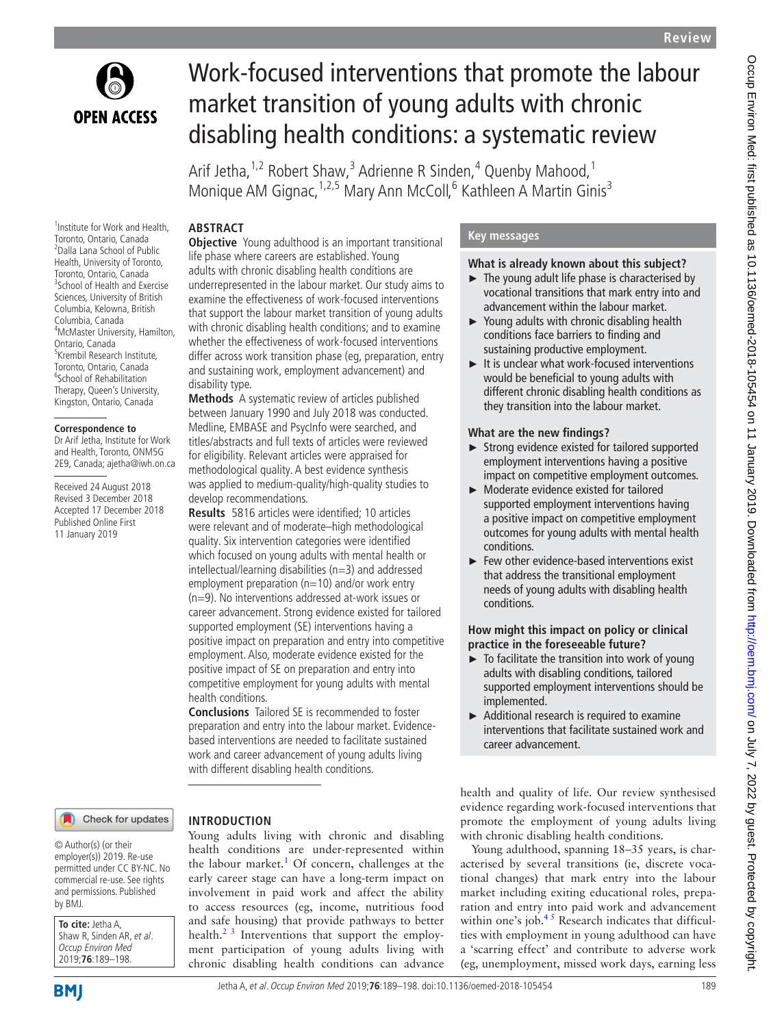

# Work-focused interventions that promote the labour market transition of young adults with chronic disabling health conditions: a systematic review

Arif Jetha,<sup>1,2</sup> Robert Shaw,<sup>3</sup> Adrienne R Sinden,<sup>4</sup> Quenby Mahood,<sup>1</sup> Monique AM Gignac, <sup>1,2,5</sup> Mary Ann McColl, <sup>6</sup> Kathleen A Martin Ginis<sup>3</sup>

### **ABSTRACT**

1 Institute for Work and Health, Toronto, Ontario, Canada 2 Dalla Lana School of Public Health, University of Toronto, Toronto, Ontario, Canada <sup>3</sup>School of Health and Exercise Sciences, University of British Columbia, Kelowna, British Columbia, Canada 4 McMaster University, Hamilton, Ontario, Canada <sup>5</sup>Krembil Research Institute, Toronto, Ontario, Canada <sup>6</sup>School of Rehabilitation Therapy, Queen's University, Kingston, Ontario, Canada

#### **Correspondence to**

Dr Arif Jetha, Institute for Work and Health, Toronto, ONM5G 2E9, Canada; ajetha@iwh.on.ca

Received 24 August 2018 Revised 3 December 2018 Accepted 17 December 2018 Published Online First 11 January 2019

### **Objective** Young adulthood is an important transitional life phase where careers are established. Young adults with chronic disabling health conditions are underrepresented in the labour market. Our study aims to examine the effectiveness of work-focused interventions that support the labour market transition of young adults with chronic disabling health conditions; and to examine whether the effectiveness of work-focused interventions differ across work transition phase (eg, preparation, entry and sustaining work, employment advancement) and disability type.

**Methods** A systematic review of articles published between January 1990 and July 2018 was conducted. Medline, EMBASE and PsycInfo were searched, and titles/abstracts and full texts of articles were reviewed for eligibility. Relevant articles were appraised for methodological quality. A best evidence synthesis was applied to medium-quality/high-quality studies to develop recommendations.

**Results** 5816 articles were identified; 10 articles were relevant and of moderate–high methodological quality. Six intervention categories were identified which focused on young adults with mental health or intellectual/learning disabilities (n=3) and addressed employment preparation ( $n=10$ ) and/or work entry (n=9). No interventions addressed at-work issues or career advancement. Strong evidence existed for tailored supported employment (SE) interventions having a positive impact on preparation and entry into competitive employment. Also, moderate evidence existed for the positive impact of SE on preparation and entry into competitive employment for young adults with mental health conditions.

**Conclusions** Tailored SE is recommended to foster preparation and entry into the labour market. Evidencebased interventions are needed to facilitate sustained work and career advancement of young adults living with different disabling health conditions.

#### Check for updates

#### © Author(s) (or their employer(s)) 2019. Re-use permitted under CC BY-NC. No commercial re-use. See rights and permissions. Published by BMJ.

**To cite:** Jetha A, Shaw R, Sinden AR, et al. Occup Environ Med 2019;**76**:189–198.



### **Introduction**

Young adults living with chronic and disabling health conditions are under-represented within the labour market.<sup>[1](#page-8-0)</sup> Of concern, challenges at the early career stage can have a long-term impact on involvement in paid work and affect the ability to access resources (eg, income, nutritious food and safe housing) that provide pathways to better health.<sup>2 3</sup> Interventions that support the employment participation of young adults living with chronic disabling health conditions can advance

### **Key messages**

### **What is already known about this subject?**

- $\blacktriangleright$  The young adult life phase is characterised by vocational transitions that mark entry into and advancement within the labour market.
- ► Young adults with chronic disabling health conditions face barriers to finding and sustaining productive employment.
- ► It is unclear what work-focused interventions would be beneficial to young adults with different chronic disabling health conditions as they transition into the labour market.

#### **What are the new findings?**

- ► Strong evidence existed for tailored supported employment interventions having a positive impact on competitive employment outcomes.
- ► Moderate evidence existed for tailored supported employment interventions having a positive impact on competitive employment outcomes for young adults with mental health conditions.
- ► Few other evidence-based interventions exist that address the transitional employment needs of young adults with disabling health conditions.

### **How might this impact on policy or clinical practice in the foreseeable future?**

- $\blacktriangleright$  To facilitate the transition into work of young adults with disabling conditions, tailored supported employment interventions should be implemented.
- ► Additional research is required to examine interventions that facilitate sustained work and career advancement.

health and quality of life. Our review synthesised evidence regarding work-focused interventions that promote the employment of young adults living with chronic disabling health conditions.

Young adulthood, spanning 18–35 years, is characterised by several transitions (ie, discrete vocational changes) that mark entry into the labour market including exiting educational roles, preparation and entry into paid work and advancement within one's job. $45$  Research indicates that difficulties with employment in young adulthood can have a 'scarring effect' and contribute to adverse work (eg, unemployment, missed work days, earning less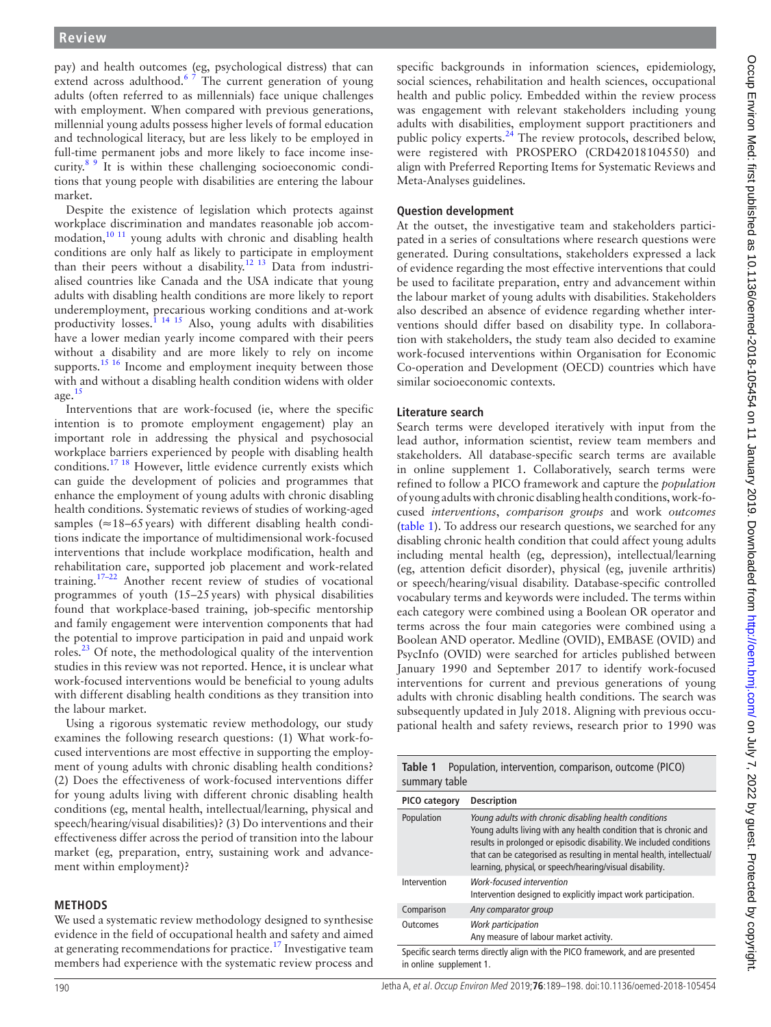pay) and health outcomes (eg, psychological distress) that can extend across adulthood.<sup>6</sup>  $\frac{3}{7}$  The current generation of young adults (often referred to as millennials) face unique challenges with employment. When compared with previous generations, millennial young adults possess higher levels of formal education and technological literacy, but are less likely to be employed in full-time permanent jobs and more likely to face income inse-curity.<sup>[8 9](#page-9-0)</sup> It is within these challenging socioeconomic conditions that young people with disabilities are entering the labour market.

Despite the existence of legislation which protects against workplace discrimination and mandates reasonable job accom-modation,<sup>[10 11](#page-9-1)</sup> young adults with chronic and disabling health conditions are only half as likely to participate in employment than their peers without a disability.<sup>12 13</sup> Data from industrialised countries like Canada and the USA indicate that young adults with disabling health conditions are more likely to report underemployment, precarious working conditions and at-work productivity losses.<sup>1</sup> <sup>14 15</sup> Also, young adults with disabilities have a lower median yearly income compared with their peers without a disability and are more likely to rely on income supports.<sup>[15 16](#page-9-3)</sup> Income and employment inequity between those with and without a disabling health condition widens with older age. $15$ 

Interventions that are work-focused (ie, where the specific intention is to promote employment engagement) play an important role in addressing the physical and psychosocial workplace barriers experienced by people with disabling health conditions.<sup>[17 18](#page-9-4)</sup> However, little evidence currently exists which can guide the development of policies and programmes that enhance the employment of young adults with chronic disabling health conditions. Systematic reviews of studies of working-aged samples ( $\approx$ 18–65 years) with different disabling health conditions indicate the importance of multidimensional work-focused interventions that include workplace modification, health and rehabilitation care, supported job placement and work-related training.[17–22](#page-9-4) Another recent review of studies of vocational programmes of youth (15–25years) with physical disabilities found that workplace-based training, job-specific mentorship and family engagement were intervention components that had the potential to improve participation in paid and unpaid work roles.<sup>23</sup> Of note, the methodological quality of the intervention studies in this review was not reported. Hence, it is unclear what work-focused interventions would be beneficial to young adults with different disabling health conditions as they transition into the labour market.

Using a rigorous systematic review methodology, our study examines the following research questions: (1) What work-focused interventions are most effective in supporting the employment of young adults with chronic disabling health conditions? (2) Does the effectiveness of work-focused interventions differ for young adults living with different chronic disabling health conditions (eg, mental health, intellectual/learning, physical and speech/hearing/visual disabilities)? (3) Do interventions and their effectiveness differ across the period of transition into the labour market (eg, preparation, entry, sustaining work and advancement within employment)?

### **Methods**

We used a systematic review methodology designed to synthesise evidence in the field of occupational health and safety and aimed at generating recommendations for practice.<sup>17</sup> Investigative team members had experience with the systematic review process and

specific backgrounds in information sciences, epidemiology, social sciences, rehabilitation and health sciences, occupational health and public policy. Embedded within the review process was engagement with relevant stakeholders including young adults with disabilities, employment support practitioners and public policy experts.<sup>[24](#page-9-6)</sup> The review protocols, described below, were registered with PROSPERO (CRD42018104550) and align with Preferred Reporting Items for Systematic Reviews and Meta-Analyses guidelines.

#### **Question development**

At the outset, the investigative team and stakeholders participated in a series of consultations where research questions were generated. During consultations, stakeholders expressed a lack of evidence regarding the most effective interventions that could be used to facilitate preparation, entry and advancement within the labour market of young adults with disabilities. Stakeholders also described an absence of evidence regarding whether interventions should differ based on disability type. In collaboration with stakeholders, the study team also decided to examine work-focused interventions within Organisation for Economic Co-operation and Development (OECD) countries which have similar socioeconomic contexts.

#### **Literature search**

Search terms were developed iteratively with input from the lead author, information scientist, review team members and stakeholders. All database-specific search terms are available in online [supplement](https://dx.doi.org/10.1136/oemed-2018-105454) 1. Collaboratively, search terms were refined to follow a PICO framework and capture the *population* of young adults with chronic disabling health conditions, work-focused *interventions*, *comparison groups* and work *outcomes* ([table](#page-1-0) 1). To address our research questions, we searched for any disabling chronic health condition that could affect young adults including mental health (eg, depression), intellectual/learning (eg, attention deficit disorder), physical (eg, juvenile arthritis) or speech/hearing/visual disability. Database-specific controlled vocabulary terms and keywords were included. The terms within each category were combined using a Boolean OR operator and terms across the four main categories were combined using a Boolean AND operator. Medline (OVID), EMBASE (OVID) and PsycInfo (OVID) were searched for articles published between January 1990 and September 2017 to identify work-focused interventions for current and previous generations of young adults with chronic disabling health conditions. The search was subsequently updated in July 2018. Aligning with previous occupational health and safety reviews, research prior to 1990 was

<span id="page-1-0"></span>

| Table 1<br>summary table                                                                                   | Population, intervention, comparison, outcome (PICO)                                                                                                                                                                                                                                                                                  |  |
|------------------------------------------------------------------------------------------------------------|---------------------------------------------------------------------------------------------------------------------------------------------------------------------------------------------------------------------------------------------------------------------------------------------------------------------------------------|--|
| PICO category                                                                                              | <b>Description</b>                                                                                                                                                                                                                                                                                                                    |  |
| Population                                                                                                 | Young adults with chronic disabling health conditions<br>Young adults living with any health condition that is chronic and<br>results in prolonged or episodic disability. We included conditions<br>that can be categorised as resulting in mental health, intellectual/<br>learning, physical, or speech/hearing/visual disability. |  |
| Intervention                                                                                               | Work-focused intervention<br>Intervention designed to explicitly impact work participation.                                                                                                                                                                                                                                           |  |
| Comparison                                                                                                 | Any comparator group                                                                                                                                                                                                                                                                                                                  |  |
| <b>Outcomes</b>                                                                                            | Work participation<br>Any measure of labour market activity.                                                                                                                                                                                                                                                                          |  |
| Specific search terms directly align with the PICO framework, and are presented<br>in online supplement 1. |                                                                                                                                                                                                                                                                                                                                       |  |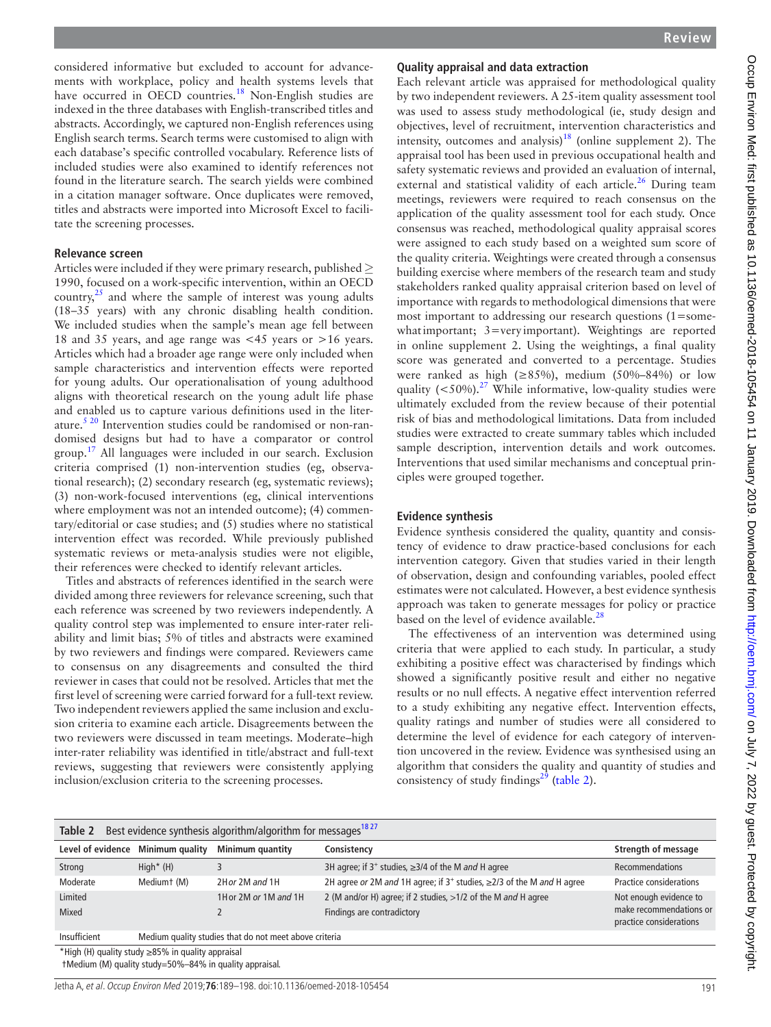Occup Environ Med: first published as 10.1136/oemed-2018-105454 on 11 January 2019. Downloaded from http://oem.bmj.com/ on July 7, 2022 by guest. Protected by copyright Occup Environ Med: first published as 10.1136/oemed-2018-105454 on 11 January 2019. Downloaded from Medi://oem.bmj.com/ on July 7, 2022 by guest. Protected by copyright.

considered informative but excluded to account for advancements with workplace, policy and health systems levels that have occurred in OECD countries.<sup>[18](#page-9-7)</sup> Non-English studies are indexed in the three databases with English-transcribed titles and abstracts. Accordingly, we captured non-English references using English search terms. Search terms were customised to align with each database's specific controlled vocabulary. Reference lists of included studies were also examined to identify references not found in the literature search. The search yields were combined in a citation manager software. Once duplicates were removed, titles and abstracts were imported into Microsoft Excel to facilitate the screening processes.

### **Relevance screen**

Articles were included if they were primary research, published*≥* 1990, focused on a work-specific intervention, within an OECD country, $^{25}$  and where the sample of interest was young adults (18–35 years) with any chronic disabling health condition. We included studies when the sample's mean age fell between 18 and 35 years, and age range was <45 years or >16 years. Articles which had a broader age range were only included when sample characteristics and intervention effects were reported for young adults. Our operationalisation of young adulthood aligns with theoretical research on the young adult life phase and enabled us to capture various definitions used in the literature.<sup>5 20</sup> Intervention studies could be randomised or non-randomised designs but had to have a comparator or control group.[17](#page-9-4) All languages were included in our search. Exclusion criteria comprised (1) non-intervention studies (eg, observational research); (2) secondary research (eg, systematic reviews); (3) non-work-focused interventions (eg, clinical interventions where employment was not an intended outcome); (4) commentary/editorial or case studies; and (5) studies where no statistical intervention effect was recorded. While previously published systematic reviews or meta-analysis studies were not eligible, their references were checked to identify relevant articles.

Titles and abstracts of references identified in the search were divided among three reviewers for relevance screening, such that each reference was screened by two reviewers independently. A quality control step was implemented to ensure inter-rater reliability and limit bias; 5% of titles and abstracts were examined by two reviewers and findings were compared. Reviewers came to consensus on any disagreements and consulted the third reviewer in cases that could not be resolved. Articles that met the first level of screening were carried forward for a full-text review. Two independent reviewers applied the same inclusion and exclusion criteria to examine each article. Disagreements between the two reviewers were discussed in team meetings. Moderate–high inter-rater reliability was identified in title/abstract and full-text reviews, suggesting that reviewers were consistently applying inclusion/exclusion criteria to the screening processes.

## **Quality appraisal and data extraction**

Each relevant article was appraised for methodological quality by two independent reviewers. A 25-item quality assessment tool was used to assess study methodological (ie, study design and objectives, level of recruitment, intervention characteristics and intensity, outcomes and analysis)<sup>18</sup> (online [supplement 2](https://dx.doi.org/10.1136/oemed-2018-105454)). The appraisal tool has been used in previous occupational health and safety systematic reviews and provided an evaluation of internal, external and statistical validity of each article.<sup>26</sup> During team meetings, reviewers were required to reach consensus on the application of the quality assessment tool for each study. Once consensus was reached, methodological quality appraisal scores were assigned to each study based on a weighted sum score of the quality criteria. Weightings were created through a consensus building exercise where members of the research team and study stakeholders ranked quality appraisal criterion based on level of importance with regards to methodological dimensions that were most important to addressing our research questions (1=somewhat important;  $3 = \text{very important}$ . Weightings are reported in online supplement 2. Using the weightings, a final quality score was generated and converted to a percentage. Studies were ranked as high (≥85%), medium (50%–84%) or low quality  $(<50\%)$ .<sup>[27](#page-9-10)</sup> While informative, low-quality studies were ultimately excluded from the review because of their potential risk of bias and methodological limitations. Data from included studies were extracted to create summary tables which included sample description, intervention details and work outcomes. Interventions that used similar mechanisms and conceptual principles were grouped together.

### **Evidence synthesis**

Evidence synthesis considered the quality, quantity and consistency of evidence to draw practice-based conclusions for each intervention category. Given that studies varied in their length of observation, design and confounding variables, pooled effect estimates were not calculated. However, a best evidence synthesis approach was taken to generate messages for policy or practice based on the level of evidence available. $^{28}$ 

The effectiveness of an intervention was determined using criteria that were applied to each study. In particular, a study exhibiting a positive effect was characterised by findings which showed a significantly positive result and either no negative results or no null effects. A negative effect intervention referred to a study exhibiting any negative effect. Intervention effects, quality ratings and number of studies were all considered to determine the level of evidence for each category of intervention uncovered in the review. Evidence was synthesised using an algorithm that considers the quality and quantity of studies and consistency of study findings $^{29}$  [\(table](#page-2-0) 2).

<span id="page-2-0"></span>

| Best evidence synthesis algorithm/algorithm for messages <sup>1827</sup><br>Table 2 |                                                         |                                                        |                                                                                |                                                    |
|-------------------------------------------------------------------------------------|---------------------------------------------------------|--------------------------------------------------------|--------------------------------------------------------------------------------|----------------------------------------------------|
| Level of evidence                                                                   | Minimum quality                                         | Minimum quantity                                       | Consistency                                                                    | <b>Strength of message</b>                         |
| Strong                                                                              | $High*$ (H)                                             |                                                        | 3H agree; if $3^+$ studies, $\geq$ 3/4 of the M and H agree                    | <b>Recommendations</b>                             |
| Moderate                                                                            | Mediumt (M)                                             | 2Hor 2M and 1H                                         | 2H agree or 2M and 1H agree; if $3^+$ studies, $\geq$ 2/3 of the M and H agree | <b>Practice considerations</b>                     |
| Limited                                                                             |                                                         | 1H or 2M or 1M and 1H                                  | 2 (M and/or H) agree; if 2 studies, >1/2 of the M and H agree                  | Not enough evidence to                             |
| <b>Mixed</b>                                                                        |                                                         |                                                        | Findings are contradictory                                                     | make recommendations or<br>practice considerations |
| Insufficient                                                                        |                                                         | Medium quality studies that do not meet above criteria |                                                                                |                                                    |
|                                                                                     | *High (H) quality study ≥85% in quality appraisal       |                                                        |                                                                                |                                                    |
|                                                                                     | tMedium (M) quality study=50%-84% in quality appraisal. |                                                        |                                                                                |                                                    |

Jetha A, et al. Occup Environ Med 2019;**76**:189–198. doi:10.1136/oemed-2018-105454 191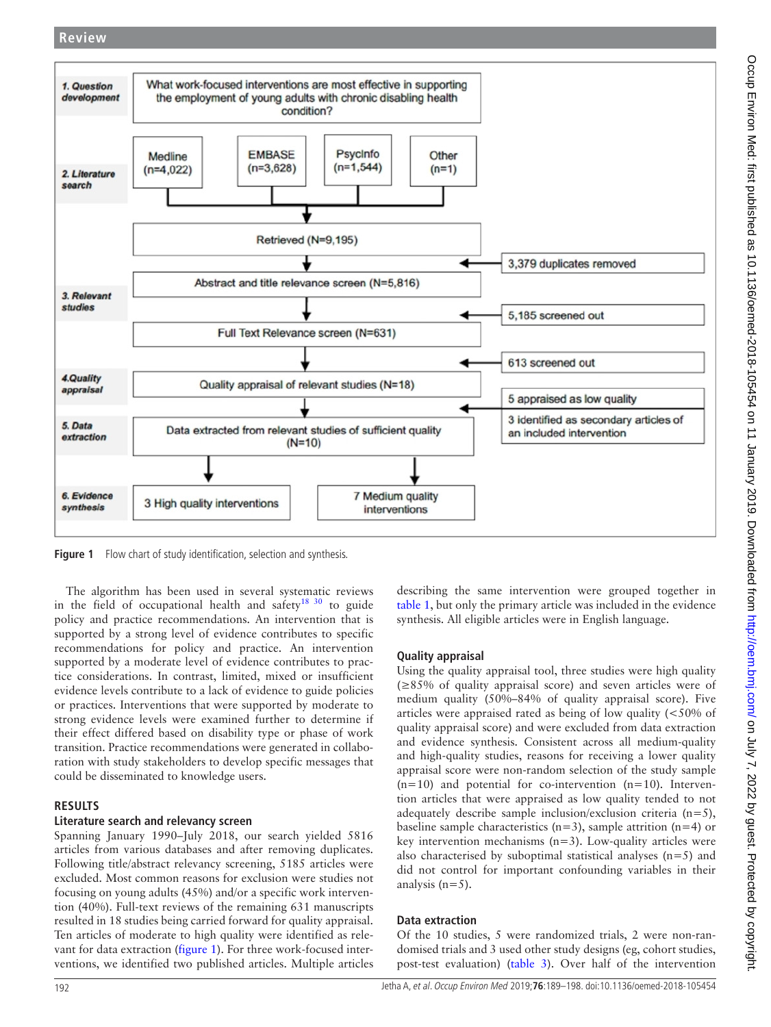

<span id="page-3-0"></span>Figure 1 Flow chart of study identification, selection and synthesis.

The algorithm has been used in several systematic reviews in the field of occupational health and safety<sup>[18 30](#page-9-7)</sup> to guide policy and practice recommendations. An intervention that is supported by a strong level of evidence contributes to specific recommendations for policy and practice. An intervention supported by a moderate level of evidence contributes to practice considerations. In contrast, limited, mixed or insufficient evidence levels contribute to a lack of evidence to guide policies or practices. Interventions that were supported by moderate to strong evidence levels were examined further to determine if their effect differed based on disability type or phase of work transition. Practice recommendations were generated in collaboration with study stakeholders to develop specific messages that could be disseminated to knowledge users.

### **Results**

### **Literature search and relevancy screen**

Spanning January 1990–July 2018, our search yielded 5816 articles from various databases and after removing duplicates. Following title/abstract relevancy screening, 5185 articles were excluded. Most common reasons for exclusion were studies not focusing on young adults (45%) and/or a specific work intervention (40%). Full-text reviews of the remaining 631 manuscripts resulted in 18 studies being carried forward for quality appraisal. Ten articles of moderate to high quality were identified as relevant for data extraction ([figure](#page-3-0) 1). For three work-focused interventions, we identified two published articles. Multiple articles

describing the same intervention were grouped together in [table](#page-1-0) 1, but only the primary article was included in the evidence synthesis. All eligible articles were in English language.

### **Quality appraisal**

Using the quality appraisal tool, three studies were high quality (≥85% of quality appraisal score) and seven articles were of medium quality (50%–84% of quality appraisal score). Five articles were appraised rated as being of low quality (<50% of quality appraisal score) and were excluded from data extraction and evidence synthesis. Consistent across all medium-quality and high-quality studies, reasons for receiving a lower quality appraisal score were non-random selection of the study sample  $(n=10)$  and potential for co-intervention  $(n=10)$ . Intervention articles that were appraised as low quality tended to not adequately describe sample inclusion/exclusion criteria  $(n=5)$ , baseline sample characteristics ( $n=3$ ), sample attrition ( $n=4$ ) or key intervention mechanisms  $(n=3)$ . Low-quality articles were also characterised by suboptimal statistical analyses  $(n=5)$  and did not control for important confounding variables in their analysis  $(n=5)$ .

### **Data extraction**

Of the 10 studies, 5 were randomized trials, 2 were non-randomised trials and 3 used other study designs (eg, cohort studies, post-test evaluation) ([table](#page-4-0) 3). Over half of the intervention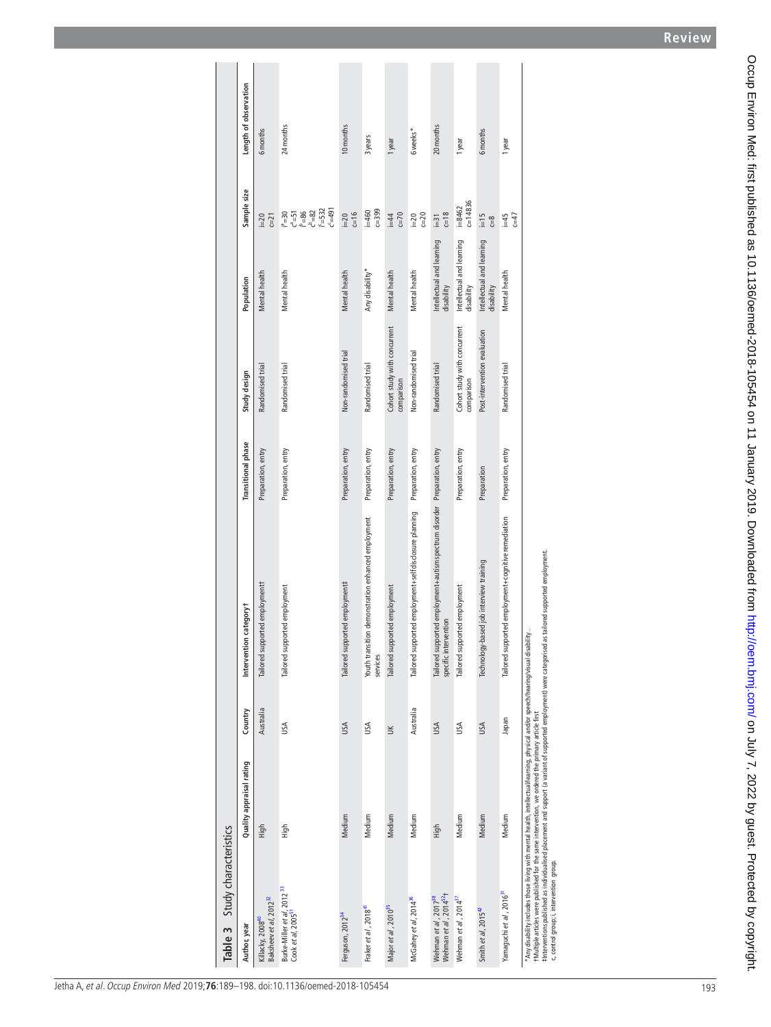| Table 3 Study characteristics                                                                                                                                                                                                          |                          |           |                                                                                                    |                           |                                            |                                         |                            |                       |
|----------------------------------------------------------------------------------------------------------------------------------------------------------------------------------------------------------------------------------------|--------------------------|-----------|----------------------------------------------------------------------------------------------------|---------------------------|--------------------------------------------|-----------------------------------------|----------------------------|-----------------------|
| Author, year                                                                                                                                                                                                                           | Quality appraisal rating | Country   | Intervention categoryt                                                                             | <b>Transitional</b> phase | Study design                               | Population                              | Sample size                | Length of observation |
| Baksheev et al, 2012 <sup>32</sup><br>Killacky, 2008 <sup>40</sup>                                                                                                                                                                     | High                     | Australia | Tailored supported employment                                                                      | Preparation, entry        | Randomised trial                           | Mental health                           | $c=21$<br>$i=20$           | 6 months              |
| Burke-Miller et al, 2012 <sup>33</sup><br>Cook et al, 2005 <sup>51</sup>                                                                                                                                                               | High                     | USA       | Tailored supported employment                                                                      | Preparation, entry        | Randomised trial                           | Mental health                           | 1<br>2568<br>28232<br>2532 | 24 months             |
| Ferguson, 2012 <sup>34</sup>                                                                                                                                                                                                           | Medium                   | USA       | Tailored supported employment#                                                                     | Preparation, entry        | Non-randomised trial                       | Mental health                           | $i=20$<br>c=16             | 10 months             |
| Fraker et al, 2018 <sup>41</sup>                                                                                                                                                                                                       | Medium                   | USA       | Youth transition demonstration enhanced employment<br>services                                     | Preparation, entry        | Randomised trial                           | Any disability*                         | $c = 399$<br>$=460$        | 3 years               |
| Major et al, 2010 <sup>35</sup>                                                                                                                                                                                                        | Medium                   | $\leq$    | Tailored supported employment                                                                      | Preparation, entry        | Cohort study with concurrent<br>comparison | Mental health                           | $c=70$<br>$i=4$            | 1 year                |
| McGahey et al, 2014 <sup>36</sup>                                                                                                                                                                                                      | Medium                   | Australia | Tailored supported employment+selfdisclosure planning                                              | Preparation, entry        | Non-randomised trial                       | Mental health                           | $c=20$<br>$i=20$           | 6 weeks*              |
| Wehman et al, 2014 <sup>52</sup> t<br>Wehman et al, 2017 <sup>38</sup>                                                                                                                                                                 | High                     | USA       | Tailored supported employment+autism spectrum disorder Preparation, entry<br>specific intervention |                           | Randomised trial                           | Intellectual and learning<br>disability | $c=18$<br>$\overline{=}31$ | 20 months             |
| Wehman et al, 2014 <sup>37</sup>                                                                                                                                                                                                       | Medium                   | USA       | Tailored supported employment                                                                      | Preparation, entry        | Cohort study with concurrent<br>comparison | Intellectual and learning<br>disability | $c = 14836$<br>$i = 8462$  | 1 year                |
| Smith et al, 2015 <sup>42</sup>                                                                                                                                                                                                        | Medium                   | USA       | Technology-based job interview training                                                            | Preparation               | Post-intervention evaluation               | Intellectual and learning<br>disability | $\Xi$<br>$\frac{8}{2}$     | 6 months              |
| Yamaguchi et a/, 2016 <sup>31</sup>                                                                                                                                                                                                    | Medium                   | neder     | Tailored supported employment+cognitive remediation                                                | Preparation, entry        | Randomised trial                           | Mental health                           | $G=47$<br>$=45$            | 1 year                |
| *Any disability includes those living with mental health, intellectual/learning, physical and/or speech/hearing/visual disability<br>#Multiple articles were published for the same intervention, we ordered the primary article first |                          |           |                                                                                                    |                           |                                            |                                         |                            |                       |

<span id="page-4-0"></span>‡Interventions published as individualised placement and support (a variant of supported employment) were categorised as tailored supported employment.

‡hteventions published as individualised placement and support (a variant of supported employment) were categorised as tailored supported employment.<br>c. control group; i, intevention group. c, control group; i, intervention group.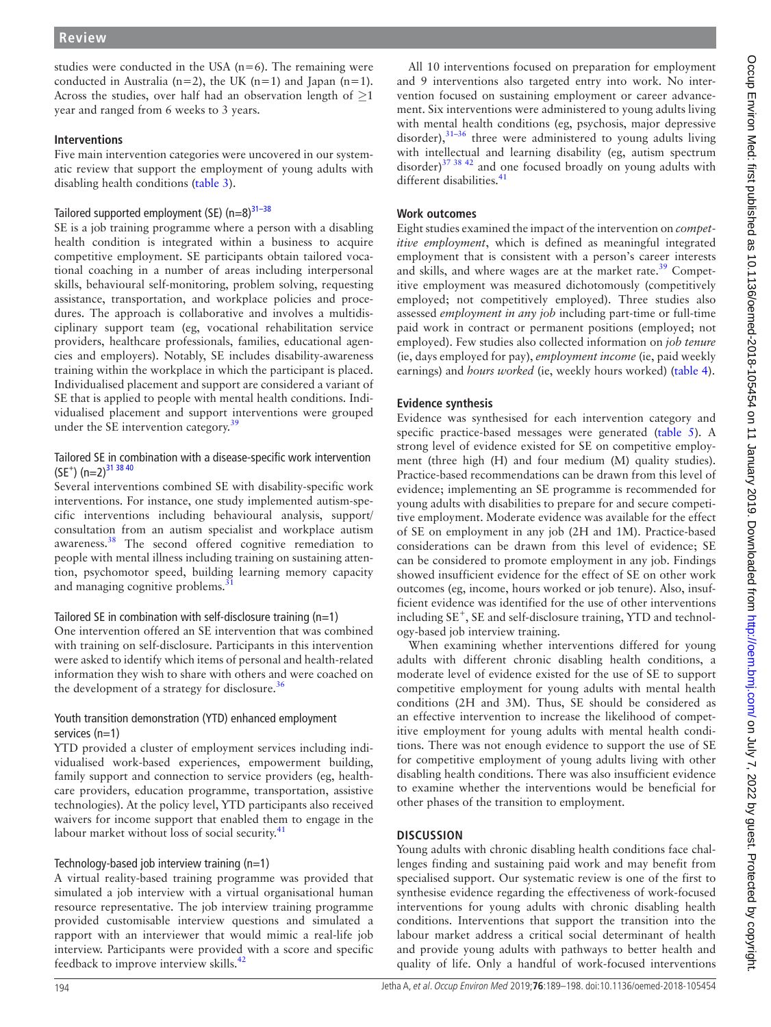studies were conducted in the USA  $(n=6)$ . The remaining were conducted in Australia (n=2), the UK (n=1) and Japan (n=1). Across the studies, over half had an observation length of *≥*1 year and ranged from 6 weeks to 3 years.

#### **Interventions**

Five main intervention categories were uncovered in our systematic review that support the employment of young adults with disabling health conditions ([table](#page-4-0) 3).

### Tailored supported employment (SE)  $(n=8)^{31-38}$

SE is a job training programme where a person with a disabling health condition is integrated within a business to acquire competitive employment. SE participants obtain tailored vocational coaching in a number of areas including interpersonal skills, behavioural self-monitoring, problem solving, requesting assistance, transportation, and workplace policies and procedures. The approach is collaborative and involves a multidisciplinary support team (eg, vocational rehabilitation service providers, healthcare professionals, families, educational agencies and employers). Notably, SE includes disability-awareness training within the workplace in which the participant is placed. Individualised placement and support are considered a variant of SE that is applied to people with mental health conditions. Individualised placement and support interventions were grouped under the SE intervention category.<sup>39</sup>

#### Tailored SE in combination with a disease-specific work intervention  $(SE^+)$  (n=2)<sup>31 38 40</sup>

Several interventions combined SE with disability-specific work interventions. For instance, one study implemented autism-specific interventions including behavioural analysis, support/ consultation from an autism specialist and workplace autism awareness.<sup>38</sup> The second offered cognitive remediation to people with mental illness including training on sustaining attention, psychomotor speed, building learning memory capacity and managing cognitive problems.<sup>3</sup>

### Tailored SE in combination with self-disclosure training  $(n=1)$

One intervention offered an SE intervention that was combined with training on self-disclosure. Participants in this intervention were asked to identify which items of personal and health-related information they wish to share with others and were coached on the development of a strategy for disclosure. $36$ 

### Youth transition demonstration (YTD) enhanced employment services (n=1)

YTD provided a cluster of employment services including individualised work-based experiences, empowerment building, family support and connection to service providers (eg, healthcare providers, education programme, transportation, assistive technologies). At the policy level, YTD participants also received waivers for income support that enabled them to engage in the labour market without loss of social security.<sup>41</sup>

### Technology-based job interview training (n=1)

A virtual reality-based training programme was provided that simulated a job interview with a virtual organisational human resource representative. The job interview training programme provided customisable interview questions and simulated a rapport with an interviewer that would mimic a real-life job interview. Participants were provided with a score and specific feedback to improve interview skills.<sup>[42](#page-9-24)</sup>

All 10 interventions focused on preparation for employment and 9 interventions also targeted entry into work. No intervention focused on sustaining employment or career advancement. Six interventions were administered to young adults living with mental health conditions (eg, psychosis, major depressive disorder), $31-36$  three were administered to young adults living with intellectual and learning disability (eg, autism spectrum disorder)[37 38 42](#page-9-23) and one focused broadly on young adults with different disabilities.<sup>41</sup>

### **Work outcomes**

Eight studies examined the impact of the intervention on *competitive employment*, which is defined as meaningful integrated employment that is consistent with a person's career interests and skills, and where wages are at the market rate.<sup>39</sup> Competitive employment was measured dichotomously (competitively employed; not competitively employed). Three studies also assessed *employment in any job* including part-time or full-time paid work in contract or permanent positions (employed; not employed). Few studies also collected information on *job tenure* (ie, days employed for pay), *employment income* (ie, paid weekly earnings) and *hours worked* (ie, weekly hours worked) [\(table](#page-6-0) 4).

### **Evidence synthesis**

Evidence was synthesised for each intervention category and specific practice-based messages were generated [\(table](#page-7-0) 5). A strong level of evidence existed for SE on competitive employment (three high (H) and four medium (M) quality studies). Practice-based recommendations can be drawn from this level of evidence; implementing an SE programme is recommended for young adults with disabilities to prepare for and secure competitive employment. Moderate evidence was available for the effect of SE on employment in any job (2H and 1M). Practice-based considerations can be drawn from this level of evidence; SE can be considered to promote employment in any job. Findings showed insufficient evidence for the effect of SE on other work outcomes (eg, income, hours worked or job tenure). Also, insufficient evidence was identified for the use of other interventions including SE<sup>+</sup>, SE and self-disclosure training, YTD and technology-based job interview training.

When examining whether interventions differed for young adults with different chronic disabling health conditions, a moderate level of evidence existed for the use of SE to support competitive employment for young adults with mental health conditions (2H and 3M). Thus, SE should be considered as an effective intervention to increase the likelihood of competitive employment for young adults with mental health conditions. There was not enough evidence to support the use of SE for competitive employment of young adults living with other disabling health conditions. There was also insufficient evidence to examine whether the interventions would be beneficial for other phases of the transition to employment.

### **Discussion**

Young adults with chronic disabling health conditions face challenges finding and sustaining paid work and may benefit from specialised support. Our systematic review is one of the first to synthesise evidence regarding the effectiveness of work-focused interventions for young adults with chronic disabling health conditions. Interventions that support the transition into the labour market address a critical social determinant of health and provide young adults with pathways to better health and quality of life. Only a handful of work-focused interventions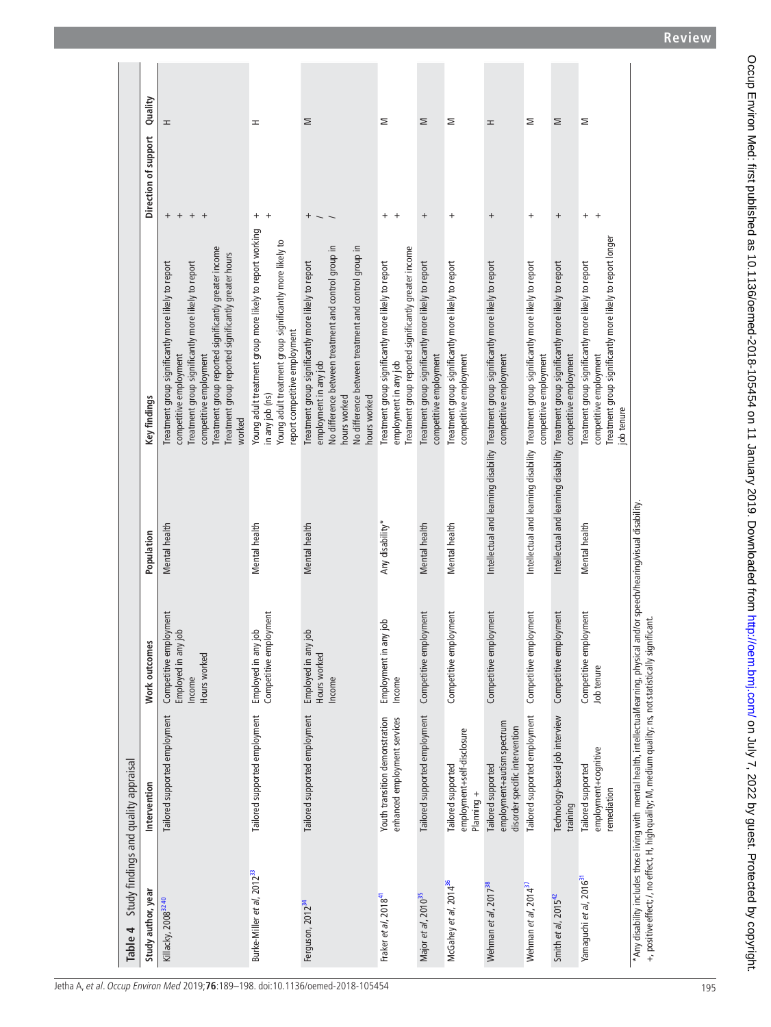<span id="page-6-0"></span>

| Table 4                                | Study findings and quality appraisal                                                                                                                                                                                                           |                                                                                      |                 |                                                                                                                                                                                                                                                                                          |                                  |         |
|----------------------------------------|------------------------------------------------------------------------------------------------------------------------------------------------------------------------------------------------------------------------------------------------|--------------------------------------------------------------------------------------|-----------------|------------------------------------------------------------------------------------------------------------------------------------------------------------------------------------------------------------------------------------------------------------------------------------------|----------------------------------|---------|
| Study author, year                     | Intervention                                                                                                                                                                                                                                   | Work outcomes                                                                        | Population      | Key findings                                                                                                                                                                                                                                                                             | Direction of support             | Quality |
| Killacky, 2008 <sup>32 40</sup>        | Tailored supported employment                                                                                                                                                                                                                  | Competitive employment<br>$\frac{1}{2}$<br>Employed in any<br>Hours worked<br>Income | Mental health   | reatment group reported significantly greater income<br>Treatment group reported significantly greater hours<br>freatment group significantly more likely to report<br>Treatment group significantly more likely to report<br>competitive employment<br>competitive employment<br>worked | $+$<br>$^{+}$<br>$+$<br>$^{+}$   | ᆂ       |
| Burke-Miller et al, 2012 <sup>33</sup> | Tailored supported employment                                                                                                                                                                                                                  | Competitive employment<br>job<br>Employed in any                                     | Mental health   | Young adult treatment group more likely to report working<br>Young adult treatment group significantly more likely to<br>report competitive employment<br>in any job (ns)                                                                                                                | $^{+}$<br>$^{+}$                 | ᆂ       |
| Ferguson, 2012 <sup>34</sup>           | Tailored supported employment                                                                                                                                                                                                                  | $\frac{1}{10}$<br>Employed in any<br>Hours worked<br>Income                          | Mental health   | No difference between treatment and control group in<br>No difference between treatment and control group in<br>Treatment group significantly more likely to report<br>employment in any job<br>hours worked<br>hours worked                                                             | $^{+}$                           | Σ       |
| Fraker et al, 2018 <sup>41</sup>       | enhanced employment services<br>Youth transition demonstration                                                                                                                                                                                 | Employment in any job<br>Income                                                      | Any disability* | Treatment group reported significantly greater income<br>Treatment group significantly more likely to report<br>employment in any job                                                                                                                                                    | $^{+}$<br>$^{+}$                 | Σ       |
| Major et al, 2010 <sup>35</sup>        | Tailored supported employment                                                                                                                                                                                                                  | Competitive employment                                                               | Mental health   | Treatment group significantly more likely to report<br>competitive employment                                                                                                                                                                                                            | $^{+}$                           | Σ       |
| McGahey et al, 2014 <sup>36</sup>      | employment+self-disclosure<br>Tailored supported<br>Planning +                                                                                                                                                                                 | Competitive employment                                                               | Mental health   | Treatment group significantly more likely to report<br>competitive employment                                                                                                                                                                                                            | $^{+}$                           | Σ       |
| Wehman et al, 2017 <sup>38</sup>       | employment+autism spectrum<br>disorder specific intervention<br>Tailored supported                                                                                                                                                             | Competitive employment                                                               |                 | Intellectual and learning disability Treatment group significantly more likely to report<br>competitive employment                                                                                                                                                                       | $^{+}$                           | ᆂ       |
| Wehman et al, 2014 <sup>37</sup>       | Tailored supported employment                                                                                                                                                                                                                  | Competitive employment                                                               |                 | Intellectual and learning disability Treatment group significantly more likely to report<br>competitive employment                                                                                                                                                                       | $\begin{array}{c} + \end{array}$ | Σ       |
| Smith et al, $2015^{42}$               | Technology-based job interview<br>training                                                                                                                                                                                                     | Competitive employment                                                               |                 | Intellectual and learning disability Treatment group significantly more likely to report<br>competitive employment                                                                                                                                                                       | $^{+}$                           | Σ       |
| Yamaguchi et al, 2016 <sup>3</sup>     | employment+cognitive<br>Tailored supported<br>remediation                                                                                                                                                                                      | Competitive employment<br>Job tenure                                                 | Mental health   | Treatment group significantly more likely to report longer<br>Treatment group significantly more likely to report<br>competitive employment<br>ob tenure                                                                                                                                 | $^{+}$<br>$+$                    | Σ       |
|                                        | *Any disability includes those living with mental health, intellectual/learning, physical and/or speech/hearing/visual disability.<br>+, positive effect; /, no effect, H, high quality; M, medium quality; ns, not statistically significant. |                                                                                      |                 |                                                                                                                                                                                                                                                                                          |                                  |         |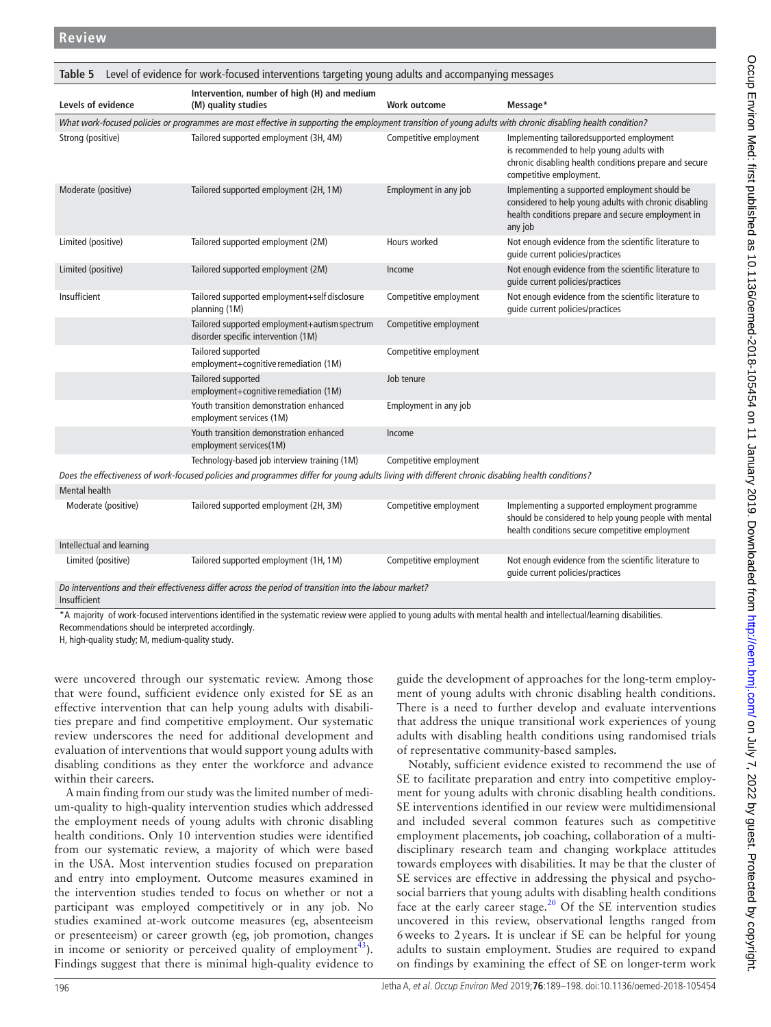196 Jetha A, et al. Occup Environ Med 2019;**76**:189–198. doi:10.1136/oemed-2018-105454

| <b>Review</b>       |                                                                                                                                                              |                        |                                                                                                                                                                            |
|---------------------|--------------------------------------------------------------------------------------------------------------------------------------------------------------|------------------------|----------------------------------------------------------------------------------------------------------------------------------------------------------------------------|
|                     |                                                                                                                                                              |                        |                                                                                                                                                                            |
| Table 5             | Level of evidence for work-focused interventions targeting young adults and accompanying messages                                                            |                        |                                                                                                                                                                            |
| Levels of evidence  | Intervention, number of high (H) and medium<br>(M) quality studies                                                                                           | Work outcome           | Message*                                                                                                                                                                   |
|                     | What work-focused policies or programmes are most effective in supporting the employment transition of young adults with chronic disabling health condition? |                        |                                                                                                                                                                            |
| Strong (positive)   | Tailored supported employment (3H, 4M)                                                                                                                       | Competitive employment | Implementing tailoredsupported employment<br>is recommended to help young adults with<br>chronic disabling health conditions prepare and secure<br>competitive employment. |
| Moderate (positive) | Tailored supported employment (2H, 1M)                                                                                                                       | Employment in any job  | Implementing a supported employment should be<br>considered to help young adults with chronic disabling<br>health conditions prepare and secure employment in<br>any job   |
| Limited (positive)  | Tailored supported employment (2M)                                                                                                                           | Hours worked           | Not enough evidence from the scientific literature to                                                                                                                      |

<span id="page-7-0"></span>

|                     | Intervention, number of high (H) and medium                                                                                                                  |                        |                                                                                                                                                                     |
|---------------------|--------------------------------------------------------------------------------------------------------------------------------------------------------------|------------------------|---------------------------------------------------------------------------------------------------------------------------------------------------------------------|
| Levels of evidence  | (M) quality studies                                                                                                                                          | Work outcome           | Message*                                                                                                                                                            |
|                     | What work-focused policies or programmes are most effective in supporting the employment transition of young adults with chronic disabling health condition? |                        |                                                                                                                                                                     |
| Strong (positive)   | Tailored supported employment (3H, 4M)                                                                                                                       | Competitive employment | Implementing tailoredsupported employment<br>is recommended to help young adults with<br>chronic disabling health conditions prepare are<br>competitive employment. |
| Moderate (positive) | Tailored supported employment (2H, 1M)                                                                                                                       | Employment in any job  | Implementing a supported employment shoul                                                                                                                           |

| Moderate (positive)                                                                                                     | Tailored supported employment (2H, 1M)                                                                                                            | Employment in any job  | Implementing a supported employment should be<br>considered to help young adults with chronic disabling<br>health conditions prepare and secure employment in<br>any job |  |  |
|-------------------------------------------------------------------------------------------------------------------------|---------------------------------------------------------------------------------------------------------------------------------------------------|------------------------|--------------------------------------------------------------------------------------------------------------------------------------------------------------------------|--|--|
| Limited (positive)                                                                                                      | Tailored supported employment (2M)                                                                                                                | Hours worked           | Not enough evidence from the scientific literature to<br>quide current policies/practices                                                                                |  |  |
| Limited (positive)                                                                                                      | Tailored supported employment (2M)                                                                                                                | Income                 | Not enough evidence from the scientific literature to<br>quide current policies/practices                                                                                |  |  |
| Insufficient                                                                                                            | Tailored supported employment+self disclosure<br>planning (1M)                                                                                    | Competitive employment | Not enough evidence from the scientific literature to<br>quide current policies/practices                                                                                |  |  |
|                                                                                                                         | Tailored supported employment+autism spectrum<br>disorder specific intervention (1M)                                                              | Competitive employment |                                                                                                                                                                          |  |  |
|                                                                                                                         | Tailored supported<br>employment+cognitive remediation (1M)                                                                                       | Competitive employment |                                                                                                                                                                          |  |  |
|                                                                                                                         | Tailored supported<br>employment+cognitive remediation (1M)                                                                                       | Job tenure             |                                                                                                                                                                          |  |  |
|                                                                                                                         | Youth transition demonstration enhanced<br>employment services (1M)                                                                               | Employment in any job  |                                                                                                                                                                          |  |  |
|                                                                                                                         | Youth transition demonstration enhanced<br>employment services(1M)                                                                                | Income                 |                                                                                                                                                                          |  |  |
|                                                                                                                         | Technology-based job interview training (1M)                                                                                                      | Competitive employment |                                                                                                                                                                          |  |  |
|                                                                                                                         | Does the effectiveness of work-focused policies and programmes differ for young adults living with different chronic disabling health conditions? |                        |                                                                                                                                                                          |  |  |
| <b>Mental health</b>                                                                                                    |                                                                                                                                                   |                        |                                                                                                                                                                          |  |  |
| Moderate (positive)                                                                                                     | Tailored supported employment (2H, 3M)                                                                                                            | Competitive employment | Implementing a supported employment programme<br>should be considered to help young people with mental<br>health conditions secure competitive employment                |  |  |
| Intellectual and learning                                                                                               |                                                                                                                                                   |                        |                                                                                                                                                                          |  |  |
| Limited (positive)                                                                                                      | Tailored supported employment (1H, 1M)                                                                                                            | Competitive employment | Not enough evidence from the scientific literature to<br>quide current policies/practices                                                                                |  |  |
| Do interventions and their effectiveness differ across the period of transition into the labour market?<br>Insufficient |                                                                                                                                                   |                        |                                                                                                                                                                          |  |  |

\*A majority of work-focused interventions identified in the systematic review were applied to young adults with mental health and intellectual/learning disabilities. Recommendations should be interpreted accordingly.

H, high-quality study; M, medium-quality study.

were uncovered through our systematic review. Among those that were found, sufficient evidence only existed for SE as an effective intervention that can help young adults with disabilities prepare and find competitive employment. Our systematic review underscores the need for additional development and evaluation of interventions that would support young adults with disabling conditions as they enter the workforce and advance within their careers.

A main finding from our study was the limited number of medium-quality to high-quality intervention studies which addressed the employment needs of young adults with chronic disabling health conditions. Only 10 intervention studies were identified from our systematic review, a majority of which were based in the USA. Most intervention studies focused on preparation and entry into employment. Outcome measures examined in the intervention studies tended to focus on whether or not a participant was employed competitively or in any job. No studies examined at-work outcome measures (eg, absenteeism or presenteeism) or career growth (eg, job promotion, changes in income or seniority or perceived quality of employment<sup>43</sup>). Findings suggest that there is minimal high-quality evidence to

guide the development of approaches for the long-term employment of young adults with chronic disabling health conditions. There is a need to further develop and evaluate interventions that address the unique transitional work experiences of young adults with disabling health conditions using randomised trials of representative community-based samples.

Notably, sufficient evidence existed to recommend the use of SE to facilitate preparation and entry into competitive employment for young adults with chronic disabling health conditions. SE interventions identified in our review were multidimensional and included several common features such as competitive employment placements, job coaching, collaboration of a multidisciplinary research team and changing workplace attitudes towards employees with disabilities. It may be that the cluster of SE services are effective in addressing the physical and psychosocial barriers that young adults with disabling health conditions face at the early career stage.<sup>20</sup> Of the SE intervention studies uncovered in this review, observational lengths ranged from 6weeks to 2years. It is unclear if SE can be helpful for young adults to sustain employment. Studies are required to expand on findings by examining the effect of SE on longer-term work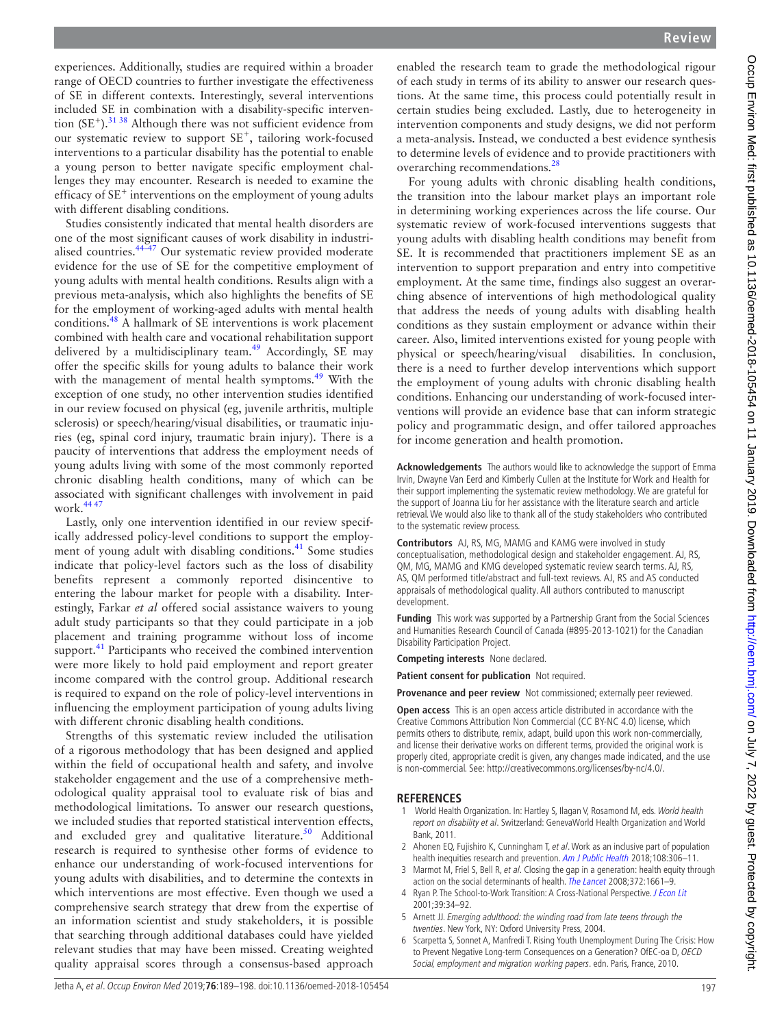experiences. Additionally, studies are required within a broader range of OECD countries to further investigate the effectiveness of SE in different contexts. Interestingly, several interventions included SE in combination with a disability-specific intervention  $(SE^+)$ .<sup>31 38</sup> Although there was not sufficient evidence from our systematic review to support SE<sup>+</sup>, tailoring work-focused interventions to a particular disability has the potential to enable a young person to better navigate specific employment challenges they may encounter. Research is needed to examine the efficacy of  $SE^+$  interventions on the employment of young adults with different disabling conditions.

Studies consistently indicated that mental health disorders are one of the most significant causes of work disability in industrialised countries.[44–47](#page-9-29) Our systematic review provided moderate evidence for the use of SE for the competitive employment of young adults with mental health conditions. Results align with a previous meta-analysis, which also highlights the benefits of SE for the employment of working-aged adults with mental health conditions.[48](#page-9-30) A hallmark of SE interventions is work placement combined with health care and vocational rehabilitation support delivered by a multidisciplinary team.<sup>[49](#page-9-31)</sup> Accordingly, SE may offer the specific skills for young adults to balance their work with the management of mental health symptoms.<sup>49</sup> With the exception of one study, no other intervention studies identified in our review focused on physical (eg, juvenile arthritis, multiple sclerosis) or speech/hearing/visual disabilities, or traumatic injuries (eg, spinal cord injury, traumatic brain injury). There is a paucity of interventions that address the employment needs of young adults living with some of the most commonly reported chronic disabling health conditions, many of which can be associated with significant challenges with involvement in paid work.[44 47](#page-9-29)

Lastly, only one intervention identified in our review specifically addressed policy-level conditions to support the employ-ment of young adult with disabling conditions.<sup>[41](#page-9-18)</sup> Some studies indicate that policy-level factors such as the loss of disability benefits represent a commonly reported disincentive to entering the labour market for people with a disability. Interestingly, Farkar *et al* offered social assistance waivers to young adult study participants so that they could participate in a job placement and training programme without loss of income support.<sup>41</sup> Participants who received the combined intervention were more likely to hold paid employment and report greater income compared with the control group. Additional research is required to expand on the role of policy-level interventions in influencing the employment participation of young adults living with different chronic disabling health conditions.

Strengths of this systematic review included the utilisation of a rigorous methodology that has been designed and applied within the field of occupational health and safety, and involve stakeholder engagement and the use of a comprehensive methodological quality appraisal tool to evaluate risk of bias and methodological limitations. To answer our research questions, we included studies that reported statistical intervention effects, and excluded grey and qualitative literature.<sup>50</sup> Additional research is required to synthesise other forms of evidence to enhance our understanding of work-focused interventions for young adults with disabilities, and to determine the contexts in which interventions are most effective. Even though we used a comprehensive search strategy that drew from the expertise of an information scientist and study stakeholders, it is possible that searching through additional databases could have yielded relevant studies that may have been missed. Creating weighted quality appraisal scores through a consensus-based approach

enabled the research team to grade the methodological rigour of each study in terms of its ability to answer our research questions. At the same time, this process could potentially result in certain studies being excluded. Lastly, due to heterogeneity in intervention components and study designs, we did not perform a meta-analysis. Instead, we conducted a best evidence synthesis to determine levels of evidence and to provide practitioners with overarching recommendations.<sup>[28](#page-9-11)</sup>

For young adults with chronic disabling health conditions, the transition into the labour market plays an important role in determining working experiences across the life course. Our systematic review of work-focused interventions suggests that young adults with disabling health conditions may benefit from SE. It is recommended that practitioners implement SE as an intervention to support preparation and entry into competitive employment. At the same time, findings also suggest an overarching absence of interventions of high methodological quality that address the needs of young adults with disabling health conditions as they sustain employment or advance within their career. Also, limited interventions existed for young people with physical or speech/hearing/visual disabilities. In conclusion, there is a need to further develop interventions which support the employment of young adults with chronic disabling health conditions. Enhancing our understanding of work-focused interventions will provide an evidence base that can inform strategic policy and programmatic design, and offer tailored approaches for income generation and health promotion.

**Acknowledgements** The authors would like to acknowledge the support of Emma Irvin, Dwayne Van Eerd and Kimberly Cullen at the Institute for Work and Health for their support implementing the systematic review methodology. We are grateful for the support of Joanna Liu for her assistance with the literature search and article retrieval. We would also like to thank all of the study stakeholders who contributed to the systematic review process.

**Contributors** AJ, RS, MG, MAMG and KAMG were involved in study conceptualisation, methodological design and stakeholder engagement. AJ, RS, QM, MG, MAMG and KMG developed systematic review search terms. AJ, RS, AS, QM performed title/abstract and full-text reviews. AJ, RS and AS conducted appraisals of methodological quality. All authors contributed to manuscript development.

**Funding** This work was supported by a Partnership Grant from the Social Sciences and Humanities Research Council of Canada (#895-2013-1021) for the Canadian Disability Participation Project.

**Competing interests** None declared.

**Patient consent for publication** Not required.

**Provenance and peer review** Not commissioned; externally peer reviewed.

**Open access** This is an open access article distributed in accordance with the Creative Commons Attribution Non Commercial (CC BY-NC 4.0) license, which permits others to distribute, remix, adapt, build upon this work non-commercially, and license their derivative works on different terms, provided the original work is properly cited, appropriate credit is given, any changes made indicated, and the use is non-commercial. See: [http://creativecommons.org/licenses/by-nc/4.0/.](http://creativecommons.org/licenses/by-nc/4.0/)

### **References**

- <span id="page-8-0"></span>1 World Health Organization. In: Hartley S, Ilagan V, Rosamond M, eds. World health report on disability et al. Switzerland: GenevaWorld Health Organization and World Bank, 2011.
- <span id="page-8-1"></span>2 Ahonen EQ, Fujishiro K, Cunningham T, et al. Work as an inclusive part of population health inequities research and prevention. [Am J Public Health](http://dx.doi.org/10.2105/AJPH.2017.304214) 2018;108:306-11.
- 3 Marmot M, Friel S, Bell R, et al. Closing the gap in a generation: health equity through action on the social determinants of health. [The Lancet](http://dx.doi.org/10.1016/S0140-6736(08)61690-6) 2008;372:1661-9.
- <span id="page-8-2"></span>4 Ryan P. The School-to-Work Transition: A Cross-National Perspective. [J Econ Lit](http://dx.doi.org/10.1257/jel.39.1.34) 2001;39:34–92.
- <span id="page-8-4"></span>5 Arnett JJ. Emerging adulthood: the winding road from late teens through the twenties. New York, NY: Oxford University Press, 2004.
- <span id="page-8-3"></span>6 Scarpetta S, Sonnet A, Manfredi T. Rising Youth Unemployment During The Crisis: How to Prevent Negative Long-term Consequences on a Generation? OfEC-oa D, OECD Social, employment and migration working papers. edn. Paris, France, 2010.